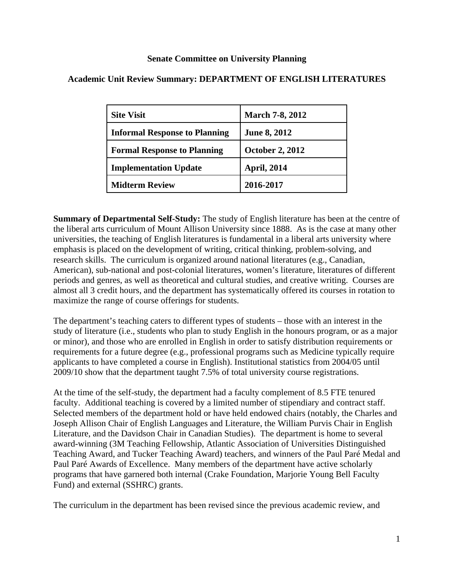#### **Senate Committee on University Planning**

| <b>Site Visit</b>                    | <b>March 7-8, 2012</b> |
|--------------------------------------|------------------------|
| <b>Informal Response to Planning</b> | <b>June 8, 2012</b>    |
| <b>Formal Response to Planning</b>   | <b>October 2, 2012</b> |
| <b>Implementation Update</b>         | <b>April, 2014</b>     |
| <b>Midterm Review</b>                | 2016-2017              |

### **Academic Unit Review Summary: DEPARTMENT OF ENGLISH LITERATURES**

**Summary of Departmental Self-Study:** The study of English literature has been at the centre of the liberal arts curriculum of Mount Allison University since 1888. As is the case at many other universities, the teaching of English literatures is fundamental in a liberal arts university where emphasis is placed on the development of writing, critical thinking, problem-solving, and research skills. The curriculum is organized around national literatures (e.g., Canadian, American), sub-national and post-colonial literatures, women's literature, literatures of different periods and genres, as well as theoretical and cultural studies, and creative writing. Courses are almost all 3 credit hours, and the department has systematically offered its courses in rotation to maximize the range of course offerings for students.

The department's teaching caters to different types of students – those with an interest in the study of literature (i.e., students who plan to study English in the honours program, or as a major or minor), and those who are enrolled in English in order to satisfy distribution requirements or requirements for a future degree (e.g., professional programs such as Medicine typically require applicants to have completed a course in English). Institutional statistics from 2004/05 until 2009/10 show that the department taught 7.5% of total university course registrations.

At the time of the self-study, the department had a faculty complement of 8.5 FTE tenured faculty. Additional teaching is covered by a limited number of stipendiary and contract staff. Selected members of the department hold or have held endowed chairs (notably, the Charles and Joseph Allison Chair of English Languages and Literature, the William Purvis Chair in English Literature, and the Davidson Chair in Canadian Studies). The department is home to several award-winning (3M Teaching Fellowship, Atlantic Association of Universities Distinguished Teaching Award, and Tucker Teaching Award) teachers, and winners of the Paul Paré Medal and Paul Paré Awards of Excellence. Many members of the department have active scholarly programs that have garnered both internal (Crake Foundation, Marjorie Young Bell Faculty Fund) and external (SSHRC) grants.

The curriculum in the department has been revised since the previous academic review, and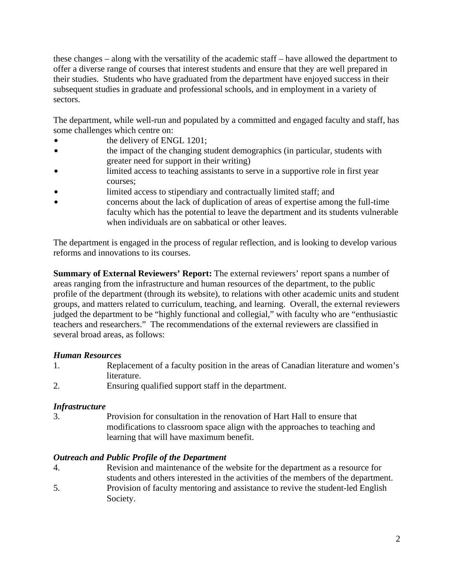these changes – along with the versatility of the academic staff – have allowed the department to offer a diverse range of courses that interest students and ensure that they are well prepared in their studies. Students who have graduated from the department have enjoyed success in their subsequent studies in graduate and professional schools, and in employment in a variety of sectors.

The department, while well-run and populated by a committed and engaged faculty and staff, has some challenges which centre on:

- the delivery of ENGL 1201;
- the impact of the changing student demographics (in particular, students with greater need for support in their writing)
- limited access to teaching assistants to serve in a supportive role in first year courses;
- limited access to stipendiary and contractually limited staff; and
- concerns about the lack of duplication of areas of expertise among the full-time faculty which has the potential to leave the department and its students vulnerable when individuals are on sabbatical or other leaves.

The department is engaged in the process of regular reflection, and is looking to develop various reforms and innovations to its courses.

**Summary of External Reviewers' Report:** The external reviewers' report spans a number of areas ranging from the infrastructure and human resources of the department, to the public profile of the department (through its website), to relations with other academic units and student groups, and matters related to curriculum, teaching, and learning. Overall, the external reviewers judged the department to be "highly functional and collegial," with faculty who are "enthusiastic teachers and researchers." The recommendations of the external reviewers are classified in several broad areas, as follows:

# *Human Resources*

- 1. Replacement of a faculty position in the areas of Canadian literature and women's literature.
- 2. Ensuring qualified support staff in the department.

# *Infrastructure*

3. Provision for consultation in the renovation of Hart Hall to ensure that modifications to classroom space align with the approaches to teaching and learning that will have maximum benefit.

# *Outreach and Public Profile of the Department*

- 4. Revision and maintenance of the website for the department as a resource for students and others interested in the activities of the members of the department.
- 5. Provision of faculty mentoring and assistance to revive the student-led English Society.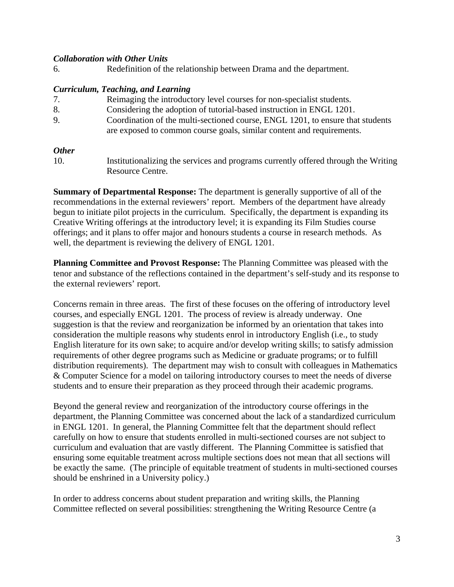#### *Collaboration with Other Units*

6. Redefinition of the relationship between Drama and the department.

#### *Curriculum, Teaching, and Learning*

| 7. | Reimaging the introductory level courses for non-specialist students.          |  |
|----|--------------------------------------------------------------------------------|--|
| 8. | Considering the adoption of tutorial-based instruction in ENGL 1201.           |  |
| 9. | Coordination of the multi-sectioned course, ENGL 1201, to ensure that students |  |
|    | are exposed to common course goals, similar content and requirements.          |  |

#### *Other*

10. Institutionalizing the services and programs currently offered through the Writing Resource Centre.

**Summary of Departmental Response:** The department is generally supportive of all of the recommendations in the external reviewers' report. Members of the department have already begun to initiate pilot projects in the curriculum. Specifically, the department is expanding its Creative Writing offerings at the introductory level; it is expanding its Film Studies course offerings; and it plans to offer major and honours students a course in research methods. As well, the department is reviewing the delivery of ENGL 1201.

**Planning Committee and Provost Response:** The Planning Committee was pleased with the tenor and substance of the reflections contained in the department's self-study and its response to the external reviewers' report.

Concerns remain in three areas. The first of these focuses on the offering of introductory level courses, and especially ENGL 1201. The process of review is already underway. One suggestion is that the review and reorganization be informed by an orientation that takes into consideration the multiple reasons why students enrol in introductory English (i.e., to study English literature for its own sake; to acquire and/or develop writing skills; to satisfy admission requirements of other degree programs such as Medicine or graduate programs; or to fulfill distribution requirements). The department may wish to consult with colleagues in Mathematics & Computer Science for a model on tailoring introductory courses to meet the needs of diverse students and to ensure their preparation as they proceed through their academic programs.

Beyond the general review and reorganization of the introductory course offerings in the department, the Planning Committee was concerned about the lack of a standardized curriculum in ENGL 1201. In general, the Planning Committee felt that the department should reflect carefully on how to ensure that students enrolled in multi-sectioned courses are not subject to curriculum and evaluation that are vastly different. The Planning Committee is satisfied that ensuring some equitable treatment across multiple sections does not mean that all sections will be exactly the same. (The principle of equitable treatment of students in multi-sectioned courses should be enshrined in a University policy.)

In order to address concerns about student preparation and writing skills, the Planning Committee reflected on several possibilities: strengthening the Writing Resource Centre (a